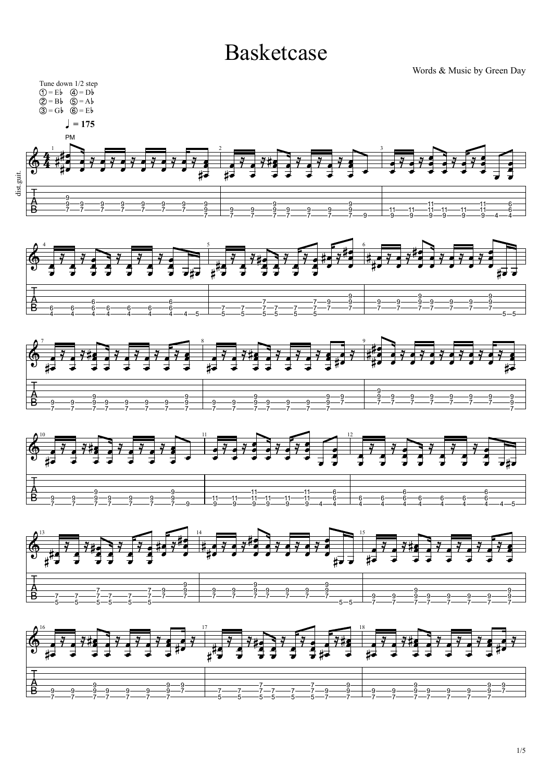## Basketcase

Words & Music by Green Day

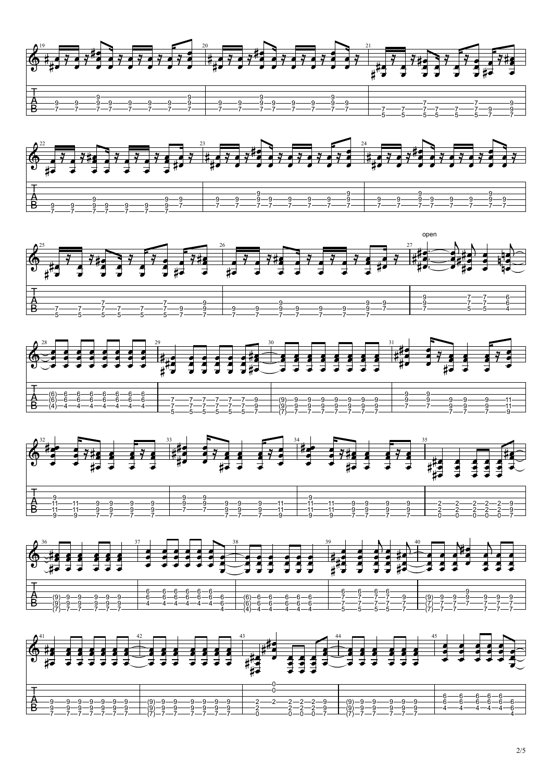











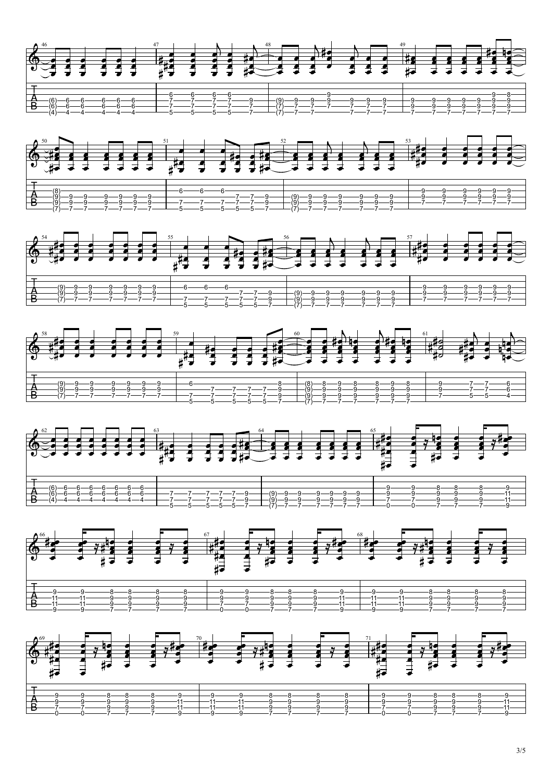











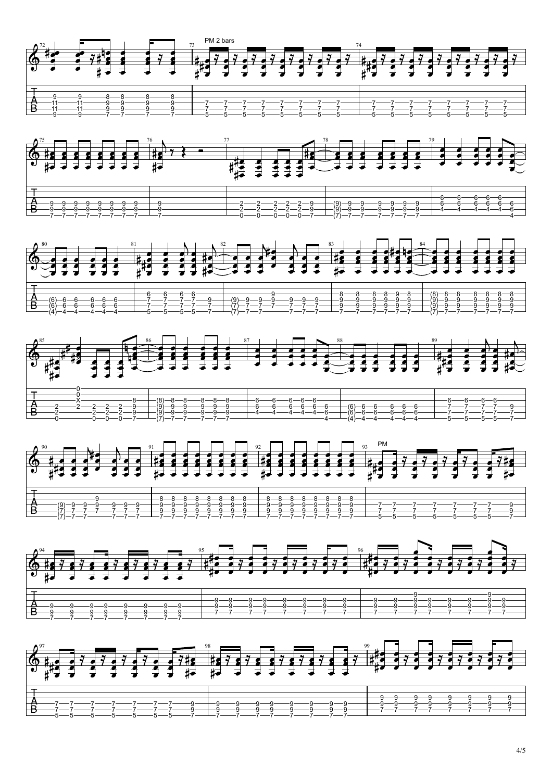